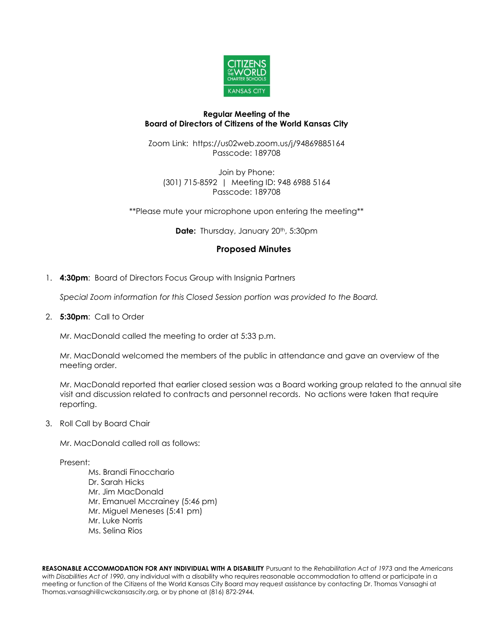

## **Regular Meeting of the Board of Directors of Citizens of the World Kansas City**

Zoom Link: https://us02web.zoom.us/j/94869885164 Passcode: 189708

Join by Phone: (301) 715-8592 | Meeting ID: 948 6988 5164 Passcode: 189708

\*\*Please mute your microphone upon entering the meeting\*\*

**Date:** Thursday, January 20<sup>th</sup>, 5:30pm

# **Proposed Minutes**

1. **4:30pm**: Board of Directors Focus Group with Insignia Partners

*Special Zoom information for this Closed Session portion was provided to the Board.*

2. **5:30pm**: Call to Order

Mr. MacDonald called the meeting to order at 5:33 p.m.

Mr. MacDonald welcomed the members of the public in attendance and gave an overview of the meeting order.

Mr. MacDonald reported that earlier closed session was a Board working group related to the annual site visit and discussion related to contracts and personnel records. No actions were taken that require reporting.

3. Roll Call by Board Chair

Mr. MacDonald called roll as follows:

Present:

Ms. Brandi Finocchario Dr. Sarah Hicks Mr. Jim MacDonald Mr. Emanuel Mccrainey (5:46 pm) Mr. Miguel Meneses (5:41 pm) Mr. Luke Norris Ms. Selina Rios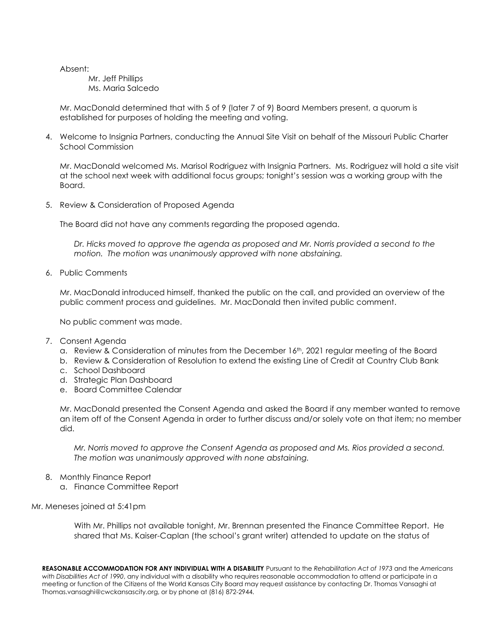Absent:

Mr. Jeff Phillips Ms. Maria Salcedo

Mr. MacDonald determined that with 5 of 9 (later 7 of 9) Board Members present, a quorum is established for purposes of holding the meeting and voting.

4. Welcome to Insignia Partners, conducting the Annual Site Visit on behalf of the Missouri Public Charter School Commission

Mr. MacDonald welcomed Ms. Marisol Rodriguez with Insignia Partners. Ms. Rodriguez will hold a site visit at the school next week with additional focus groups; tonight's session was a working group with the Board.

5. Review & Consideration of Proposed Agenda

The Board did not have any comments regarding the proposed agenda.

*Dr. Hicks moved to approve the agenda as proposed and Mr. Norris provided a second to the motion. The motion was unanimously approved with none abstaining.* 

6. Public Comments

Mr. MacDonald introduced himself, thanked the public on the call, and provided an overview of the public comment process and guidelines. Mr. MacDonald then invited public comment.

No public comment was made.

- 7. Consent Agenda
	- a. Review & Consideration of minutes from the December 16th, 2021 regular meeting of the Board
	- b. Review & Consideration of Resolution to extend the existing Line of Credit at Country Club Bank
	- c. School Dashboard
	- d. Strategic Plan Dashboard
	- e. Board Committee Calendar

Mr. MacDonald presented the Consent Agenda and asked the Board if any member wanted to remove an item off of the Consent Agenda in order to further discuss and/or solely vote on that item; no member did.

*Mr. Norris moved to approve the Consent Agenda as proposed and Ms. Rios provided a second. The motion was unanimously approved with none abstaining.*

- 8. Monthly Finance Report
	- a. Finance Committee Report

#### Mr. Meneses joined at 5:41pm

With Mr. Phillips not available tonight, Mr. Brennan presented the Finance Committee Report. He shared that Ms. Kaiser-Caplan (the school's grant writer) attended to update on the status of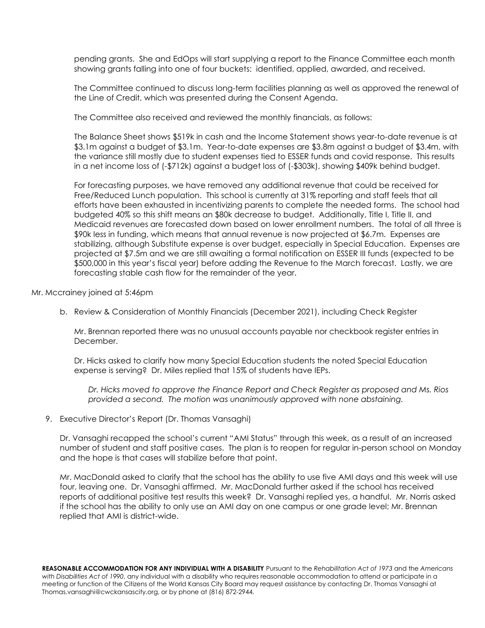pending grants. She and EdOps will start supplying a report to the Finance Committee each month showing grants falling into one of four buckets: identified, applied, awarded, and received.

The Committee continued to discuss long-term facilities planning as well as approved the renewal of the Line of Credit, which was presented during the Consent Agenda.

The Committee also received and reviewed the monthly financials, as follows:

The Balance Sheet shows \$519k in cash and the Income Statement shows year-to-date revenue is at \$3.1m against a budget of \$3.1m. Year-to-date expenses are \$3.8m against a budget of \$3.4m, with the variance still mostly due to student expenses tied to ESSER funds and covid response. This results in a net income loss of (-\$712k) against a budget loss of (-\$303k), showing \$409k behind budget.

For forecasting purposes, we have removed any additional revenue that could be received for Free/Reduced Lunch population. This school is currently at 31% reporting and staff feels that all efforts have been exhausted in incentivizing parents to complete the needed forms. The school had budgeted 40% so this shift means an \$80k decrease to budget. Additionally, Title I, Title II, and Medicaid revenues are forecasted down based on lower enrollment numbers. The total of all three is \$90k less in funding, which means that annual revenue is now projected at \$6.7m. Expenses are stabilizing, although Substitute expense is over budget, especially in Special Education. Expenses are projected at \$7.5m and we are still awaiting a formal notification on ESSER III funds (expected to be \$500,000 in this year's fiscal year) before adding the Revenue to the March forecast. Lastly, we are forecasting stable cash flow for the remainder of the year.

Mr. Mccrainey joined at 5:46pm

b. Review & Consideration of Monthly Financials (December 2021), including Check Register

Mr. Brennan reported there was no unusual accounts payable nor checkbook register entries in December.

Dr. Hicks asked to clarify how many Special Education students the noted Special Education expense is serving? Dr. Miles replied that 15% of students have IEPs.

*Dr. Hicks moved to approve the Finance Report and Check Register as proposed and Ms. Rios provided a second. The motion was unanimously approved with none abstaining.*

#### 9. Executive Director's Report (Dr. Thomas Vansaghi)

Dr. Vansaghi recapped the school's current "AMI Status" through this week, as a result of an increased number of student and staff positive cases. The plan is to reopen for regular in-person school on Monday and the hope is that cases will stabilize before that point.

Mr. MacDonald asked to clarify that the school has the ability to use five AMI days and this week will use four, leaving one. Dr. Vansaghi affirmed. Mr. MacDonald further asked if the school has received reports of additional positive test results this week? Dr. Vansaghi replied yes, a handful. Mr. Norris asked if the school has the ability to only use an AMI day on one campus or one grade level; Mr. Brennan replied that AMI is district-wide.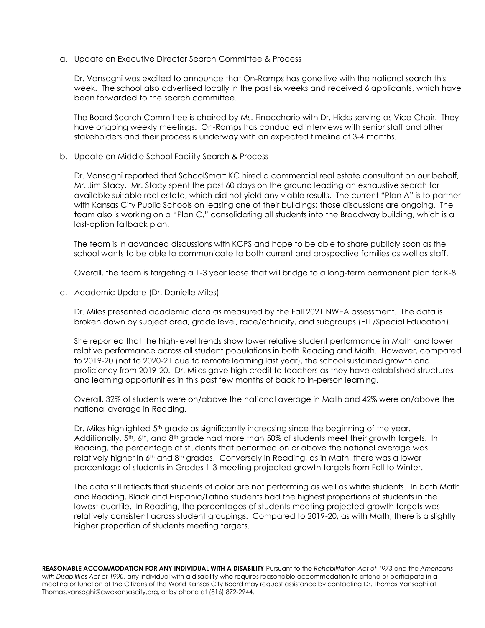a. Update on Executive Director Search Committee & Process

Dr. Vansaghi was excited to announce that On-Ramps has gone live with the national search this week. The school also advertised locally in the past six weeks and received 6 applicants, which have been forwarded to the search committee.

The Board Search Committee is chaired by Ms. Finocchario with Dr. Hicks serving as Vice-Chair. They have ongoing weekly meetings. On-Ramps has conducted interviews with senior staff and other stakeholders and their process is underway with an expected timeline of 3-4 months.

b. Update on Middle School Facility Search & Process

Dr. Vansaghi reported that SchoolSmart KC hired a commercial real estate consultant on our behalf, Mr. Jim Stacy. Mr. Stacy spent the past 60 days on the ground leading an exhaustive search for available suitable real estate, which did not yield any viable results. The current "Plan A" is to partner with Kansas City Public Schools on leasing one of their buildings; those discussions are ongoing. The team also is working on a "Plan C," consolidating all students into the Broadway building, which is a last-option fallback plan.

The team is in advanced discussions with KCPS and hope to be able to share publicly soon as the school wants to be able to communicate to both current and prospective families as well as staff.

Overall, the team is targeting a 1-3 year lease that will bridge to a long-term permanent plan for K-8.

c. Academic Update (Dr. Danielle Miles)

Dr. Miles presented academic data as measured by the Fall 2021 NWEA assessment. The data is broken down by subject area, grade level, race/ethnicity, and subgroups (ELL/Special Education).

She reported that the high-level trends show lower relative student performance in Math and lower relative performance across all student populations in both Reading and Math. However, compared to 2019-20 (not to 2020-21 due to remote learning last year), the school sustained growth and proficiency from 2019-20. Dr. Miles gave high credit to teachers as they have established structures and learning opportunities in this past few months of back to in-person learning.

Overall, 32% of students were on/above the national average in Math and 42% were on/above the national average in Reading.

Dr. Miles highlighted 5<sup>th</sup> grade as significantly increasing since the beginning of the year. Additionally,  $5<sup>th</sup>$ , 6<sup>th</sup>, and  $8<sup>th</sup>$  grade had more than 50% of students meet their growth targets. In Reading, the percentage of students that performed on or above the national average was relatively higher in 6<sup>th</sup> and 8<sup>th</sup> grades. Conversely in Reading, as in Math, there was a lower percentage of students in Grades 1-3 meeting projected growth targets from Fall to Winter.

The data still reflects that students of color are not performing as well as white students. In both Math and Reading, Black and Hispanic/Latino students had the highest proportions of students in the lowest quartile. In Reading, the percentages of students meeting projected growth targets was relatively consistent across student groupings. Compared to 2019-20, as with Math, there is a slightly higher proportion of students meeting targets.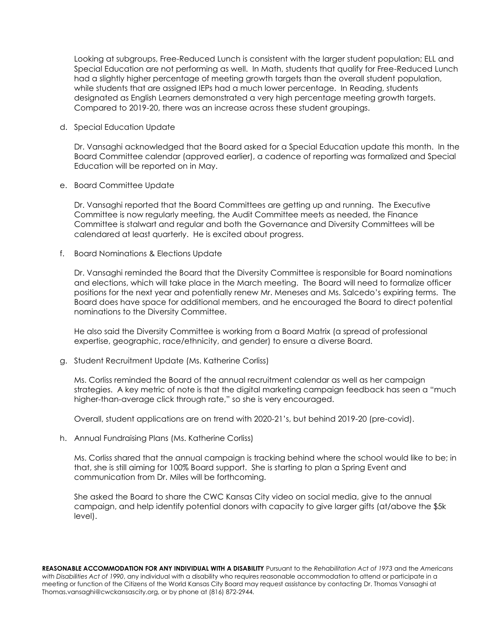Looking at subgroups, Free-Reduced Lunch is consistent with the larger student population; ELL and Special Education are not performing as well. In Math, students that qualify for Free-Reduced Lunch had a slightly higher percentage of meeting growth targets than the overall student population, while students that are assigned IEPs had a much lower percentage. In Reading, students designated as English Learners demonstrated a very high percentage meeting growth targets. Compared to 2019-20, there was an increase across these student groupings.

d. Special Education Update

Dr. Vansaghi acknowledged that the Board asked for a Special Education update this month. In the Board Committee calendar (approved earlier), a cadence of reporting was formalized and Special Education will be reported on in May.

e. Board Committee Update

Dr. Vansaghi reported that the Board Committees are getting up and running. The Executive Committee is now regularly meeting, the Audit Committee meets as needed, the Finance Committee is stalwart and regular and both the Governance and Diversity Committees will be calendared at least quarterly. He is excited about progress.

f. Board Nominations & Elections Update

Dr. Vansaghi reminded the Board that the Diversity Committee is responsible for Board nominations and elections, which will take place in the March meeting. The Board will need to formalize officer positions for the next year and potentially renew Mr. Meneses and Ms. Salcedo's expiring terms. The Board does have space for additional members, and he encouraged the Board to direct potential nominations to the Diversity Committee.

He also said the Diversity Committee is working from a Board Matrix (a spread of professional expertise, geographic, race/ethnicity, and gender) to ensure a diverse Board.

g. Student Recruitment Update (Ms. Katherine Corliss)

Ms. Corliss reminded the Board of the annual recruitment calendar as well as her campaign strategies. A key metric of note is that the digital marketing campaign feedback has seen a "much higher-than-average click through rate," so she is very encouraged.

Overall, student applications are on trend with 2020-21's, but behind 2019-20 (pre-covid).

h. Annual Fundraising Plans (Ms. Katherine Corliss)

Ms. Corliss shared that the annual campaign is tracking behind where the school would like to be; in that, she is still aiming for 100% Board support. She is starting to plan a Spring Event and communication from Dr. Miles will be forthcoming.

She asked the Board to share the CWC Kansas City video on social media, give to the annual campaign, and help identify potential donors with capacity to give larger gifts (at/above the \$5k level).